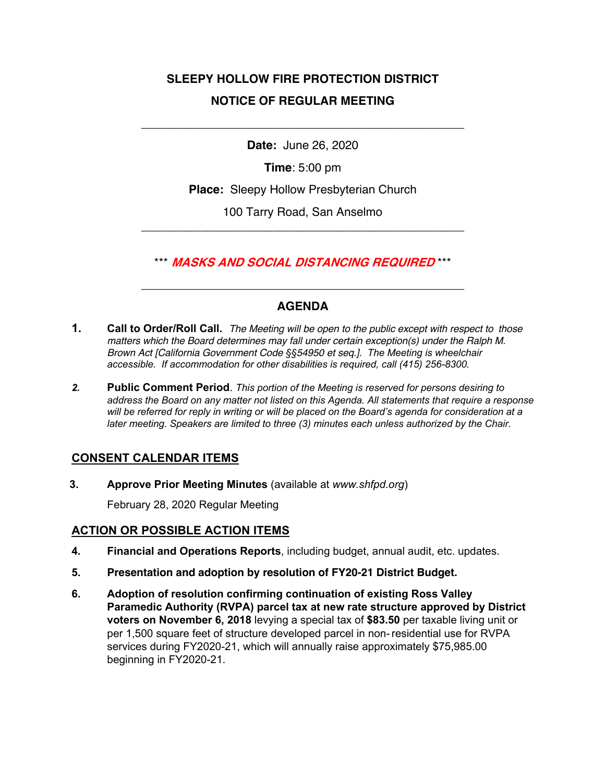# **SLEEPY HOLLOW FIRE PROTECTION DISTRICT NOTICE OF REGULAR MEETING**

**Date:** June 26, 2020

\_\_\_\_\_\_\_\_\_\_\_\_\_\_\_\_\_\_\_\_\_\_\_\_\_\_\_\_\_\_\_\_\_\_\_\_\_\_\_\_\_\_\_\_\_\_\_\_\_

**Time**: 5:00 pm

**Place:** Sleepy Hollow Presbyterian Church

100 Tarry Road, San Anselmo \_\_\_\_\_\_\_\_\_\_\_\_\_\_\_\_\_\_\_\_\_\_\_\_\_\_\_\_\_\_\_\_\_\_\_\_\_\_\_\_\_\_\_\_\_\_\_\_\_

\*\*\* **MASKS AND SOCIAL DISTANCING REQUIRED** \*\*\*

\_\_\_\_\_\_\_\_\_\_\_\_\_\_\_\_\_\_\_\_\_\_\_\_\_\_\_\_\_\_\_\_\_\_\_\_\_\_\_\_\_\_\_\_\_\_\_\_\_

## **AGENDA**

- **1. Call to Order/Roll Call.** *The Meeting will be open to the public except with respect to those matters which the Board determines may fall under certain exception(s) under the Ralph M. Brown Act [California Government Code §§54950 et seq.]. The Meeting is wheelchair accessible. If accommodation for other disabilities is required, call (415) 256-8300.*
- *2.* **Public Comment Period**. *This portion of the Meeting is reserved for persons desiring to address the Board on any matter not listed on this Agenda. All statements that require a response will be referred for reply in writing or will be placed on the Board's agenda for consideration at a later meeting. Speakers are limited to three (3) minutes each unless authorized by the Chair.*

### **CONSENT CALENDAR ITEMS**

**3. Approve Prior Meeting Minutes** (available at *www.shfpd.org*)

February 28, 2020 Regular Meeting

### **ACTION OR POSSIBLE ACTION ITEMS**

- **4. Financial and Operations Reports**, including budget, annual audit, etc. updates.
- **5. Presentation and adoption by resolution of FY20-21 District Budget.**
- **6. Adoption of resolution confirming continuation of existing Ross Valley Paramedic Authority (RVPA) parcel tax at new rate structure approved by District voters on November 6, 2018** levying a special tax of **\$83.50** per taxable living unit or per 1,500 square feet of structure developed parcel in non-residential use for RVPA services during FY2020-21, which will annually raise approximately \$75,985.00 beginning in FY2020-21.